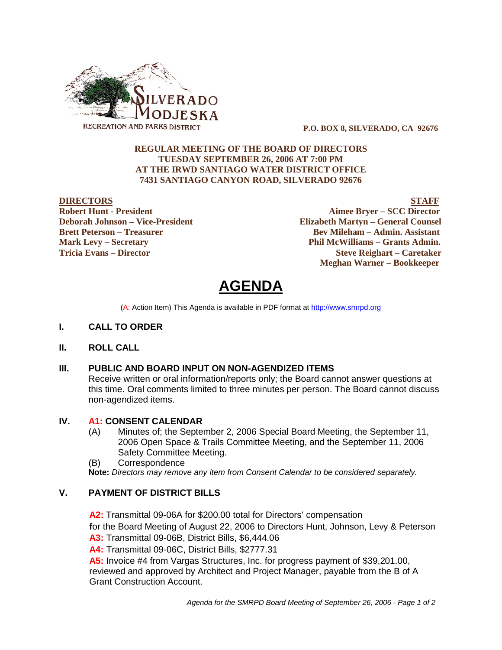

 **P.O. BOX 8, SILVERADO, CA 92676**

# **REGULAR MEETING OF THE BOARD OF DIRECTORS TUESDAY SEPTEMBER 26, 2006 AT 7:00 PM AT THE IRWD SANTIAGO WATER DISTRICT OFFICE 7431 SANTIAGO CANYON ROAD, SILVERADO 92676**

**DIRECTORS STAFF Robert Hunt - President Aimee Bryer – SCC Director Deborah Johnson – Vice-President Elizabeth Martyn – General Counsel Brett Peterson – Treasurer Serverson – Bev Mileham – Admin. Assistant Mark Levy – Secretary Phil McWilliams – Grants Admin. Tricia Evans – Director Steve Reighart – Caretaker Meghan Warner – Bookkeeper**

**AGENDA** 

(A: Action Item) This Agenda is available in PDF format at http://www.smrpd.org

- **I. CALL TO ORDER**
- **II. ROLL CALL**

#### **III. PUBLIC AND BOARD INPUT ON NON-AGENDIZED ITEMS**

Receive written or oral information/reports only; the Board cannot answer questions at this time. Oral comments limited to three minutes per person. The Board cannot discuss non-agendized items.

#### **IV. A1:CONSENT CALENDAR**

- (A) Minutes of; the September 2, 2006 Special Board Meeting, the September 11, 2006 Open Space & Trails Committee Meeting, and the September 11, 2006 Safety Committee Meeting.
- (B) Correspondence

**Note:** *Directors may remove any item from Consent Calendar to be considered separately.*

# **V. PAYMENT OF DISTRICT BILLS**

**A2:**Transmittal 09-06A for \$200.00 total for Directors' compensation **f**or the Board Meeting of August 22, 2006 to Directors Hunt, Johnson, Levy & Peterson **A3:** Transmittal 09-06B, District Bills, \$6,444.06

**A4:** Transmittal 09-06C, District Bills, \$2777.31

**A5:** Invoice #4 from Vargas Structures, Inc. for progress payment of \$39,201.00, reviewed and approved by Architect and Project Manager, payable from the B of A Grant Construction Account.